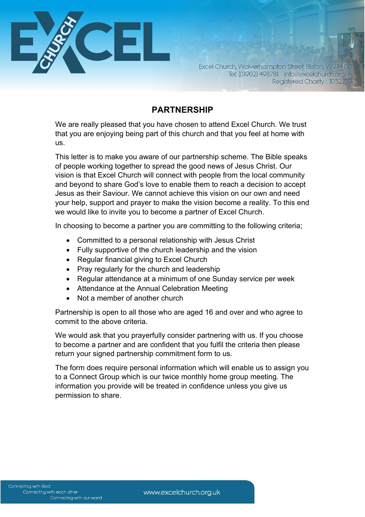

Excel Church, Wolverhampton Street, Bilston, WV14 0LT Tel: (01902) 498781 info@excelchurch.org.uk Registered Charity: 1052759

## **PARTNERSHIP**

We are really pleased that you have chosen to attend Excel Church. We trust that you are enjoying being part of this church and that you feel at home with us.

This letter is to make you aware of our partnership scheme. The Bible speaks of people working together to spread the good news of Jesus Christ. Our vision is that Excel Church will connect with people from the local community and beyond to share God's love to enable them to reach a decision to accept Jesus as their Saviour. We cannot achieve this vision on our own and need your help, support and prayer to make the vision become a reality. To this end we would like to invite you to become a partner of Excel Church.

In choosing to become a partner you are committing to the following criteria;

- Committed to a personal relationship with Jesus Christ
- Fully supportive of the church leadership and the vision
- Regular financial giving to Excel Church
- Pray regularly for the church and leadership
- Regular attendance at a minimum of one Sunday service per week
- Attendance at the Annual Celebration Meeting
- Not a member of another church

Partnership is open to all those who are aged 16 and over and who agree to commit to the above criteria.

We would ask that you prayerfully consider partnering with us. If you choose to become a partner and are confident that you fulfil the criteria then please return your signed partnership commitment form to us.

The form does require personal information which will enable us to assign you to a Connect Group which is our twice monthly home group meeting. The information you provide will be treated in confidence unless you give us permission to share.